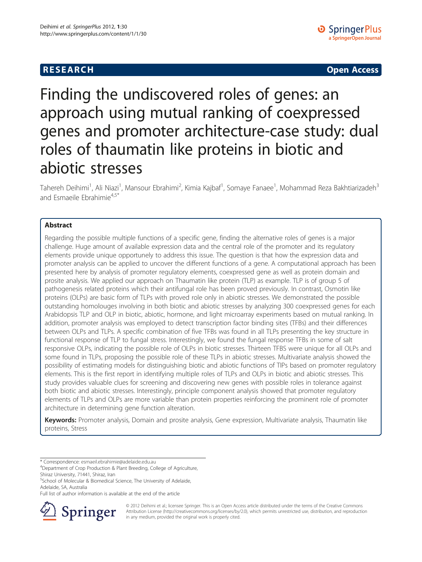## **RESEARCH CHE Open Access**

# Finding the undiscovered roles of genes: an approach using mutual ranking of coexpressed genes and promoter architecture-case study: dual roles of thaumatin like proteins in biotic and abiotic stresses

Tahereh Deihimi<sup>1</sup>, Ali Niazi<sup>1</sup>, Mansour Ebrahimi<sup>2</sup>, Kimia Kajbaf<sup>1</sup>, Somaye Fanaee<sup>1</sup>, Mohammad Reza Bakhtiarizadeh<sup>3</sup> and Esmaeile Ebrahimie<sup>4,5\*</sup>

## Abstract

Regarding the possible multiple functions of a specific gene, finding the alternative roles of genes is a major challenge. Huge amount of available expression data and the central role of the promoter and its regulatory elements provide unique opportunely to address this issue. The question is that how the expression data and promoter analysis can be applied to uncover the different functions of a gene. A computational approach has been presented here by analysis of promoter regulatory elements, coexpressed gene as well as protein domain and prosite analysis. We applied our approach on Thaumatin like protein (TLP) as example. TLP is of group 5 of pathogenesis related proteins which their antifungal role has been proved previously. In contrast, Osmotin like proteins (OLPs) are basic form of TLPs with proved role only in abiotic stresses. We demonstrated the possible outstanding homolouges involving in both biotic and abiotic stresses by analyzing 300 coexpressed genes for each Arabidopsis TLP and OLP in biotic, abiotic, hormone, and light microarray experiments based on mutual ranking. In addition, promoter analysis was employed to detect transcription factor binding sites (TFBs) and their differences between OLPs and TLPs. A specific combination of five TFBs was found in all TLPs presenting the key structure in functional response of TLP to fungal stress. Interestingly, we found the fungal response TFBs in some of salt responsive OLPs, indicating the possible role of OLPs in biotic stresses. Thirteen TFBS were unique for all OLPs and some found in TLPs, proposing the possible role of these TLPs in abiotic stresses. Multivariate analysis showed the possibility of estimating models for distinguishing biotic and abiotic functions of TIPs based on promoter regulatory elements. This is the first report in identifying multiple roles of TLPs and OLPs in biotic and abiotic stresses. This study provides valuable clues for screening and discovering new genes with possible roles in tolerance against both biotic and abiotic stresses. Interestingly, principle component analysis showed that promoter regulatory elements of TLPs and OLPs are more variable than protein properties reinforcing the prominent role of promoter architecture in determining gene function alteration.

Keywords: Promoter analysis, Domain and prosite analysis, Gene expression, Multivariate analysis, Thaumatin like proteins, Stress

<sup>4</sup>Department of Crop Production & Plant Breeding, College of Agriculture, Shiraz University, 71441, Shiraz, Iran

5 School of Molecular & Biomedical Science, The University of Adelaide, Adelaide, SA, Australia

Full list of author information is available at the end of the article



© 2012 Deihimi et al.; licensee Springer. This is an Open Access article distributed under the terms of the Creative Commons Attribution License [\(http://creativecommons.org/licenses/by/2.0\)](http://creativecommons.org/licenses/by/2.0), which permits unrestricted use, distribution, and reproduction in any medium, provided the original work is properly cited.

<sup>\*</sup> Correspondence: [esmaeil.ebrahimie@adelaide.edu.au](mailto:esmaeil.ebrahimie@adelaide.edu.au) <sup>4</sup>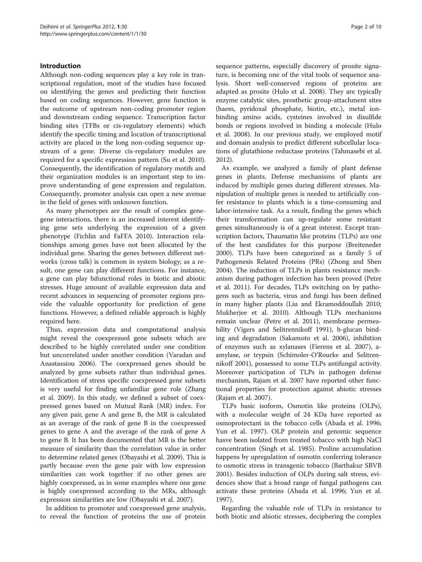## Introduction

Although non-coding sequences play a key role in transcriptional regulation, most of the studies have focused on identifying the genes and predicting their function based on coding sequences. However, gene function is the outcome of upstream non-coding promoter region and downstream coding sequence. Transcription factor binding sites (TFBs or cis-regulatory elements) which identify the specific timing and location of transcriptional activity are placed in the long non-coding sequence upstream of a gene. Diverse cis-regulatory modules are required for a specific expression pattern (Su et al. [2010](#page-9-0)). Consequently, the identification of regulatory motifs and their organization modules is an important step to improve understanding of gene expression and regulation. Consequently, promoter analysis can open a new avenue in the field of genes with unknown function.

As many phenotypes are the result of complex genegene interactions, there is an increased interest identifying gene sets underlying the expression of a given phenotype (Fichlin and FaFFA [2010](#page-9-0)). Interaction relationships among genes have not been allocated by the individual gene. Sharing the genes between different networks (cross talk) is common in system biology; as a result, one gene can play different functions. For instance, a gene can play bifunctional roles in biotic and abiotic stresses. Huge amount of available expression data and recent advances in sequencing of promoter regions provide the valuable opportunity for prediction of gene functions. However, a defined reliable approach is highly required here.

Thus, expression data and computational analysis might reveal the coexpressed gene subsets which are described to be highly correlated under one condition but uncorrelated under another condition (Varadan and Anastassiou [2006](#page-9-0)). The coexpressed genes should be analyzed by gene subsets rather than individual genes. Identification of stress specific coexpressed gene subsets is very useful for finding unfamiliar gene role (Zhang et al. [2009\)](#page-9-0). In this study, we defined a subset of coexpressed genes based on Mutual Rank (MR) index. For any given pair, gene A and gene B, the MR is calculated as an average of the rank of gene B in the coexpressed genes to gene A and the average of the rank of gene A to gene B. It has been documented that MR is the better measure of similarity than the correlation value in order to determine related genes (Obayashi et al. [2009\)](#page-9-0). This is partly because even the gene pair with low expression similarities can work together if no other genes are highly coexpressed, as in some examples where one gene is highly coexpressed according to the MRs, although expression similarities are low (Obayashi et al. [2007\)](#page-9-0).

In addition to promoter and coexpressed gene analysis, to reveal the function of proteins the use of protein

sequence patterns, especially discovery of prosite signature, is becoming one of the vital tools of sequence analysis. Short well-conserved regions of proteins are adapted as prosite (Hulo et al. [2008](#page-9-0)). They are typically enzyme catalytic sites, prosthetic group-attachment sites (haem, pyridoxal phosphate, biotin, etc.), metal ionbinding amino acids, cysteines involved in disulfide bonds or regions involved in binding a molecule (Hulo et al. [2008\)](#page-9-0). In our previous study, we employed motif and domain analysis to predict different subcellular locations of glutathione reductase proteins (Tahmasebi et al. [2012](#page-9-0)).

As example, we analyzed a family of plant defense genes in plants. Defense mechanisms of plants are induced by multiple genes during different stresses. Manipulation of multiple genes is needed to artificially confer resistance to plants which is a time-consuming and labor-intensive task. As a result, finding the genes which their transformation can up-regulate some resistant genes simultaneously is of a great interest. Except transcription factors, Thaumatin like proteins (TLPs) are one of the best candidates for this purpose (Breiteneder [2000](#page-9-0)). TLPs have been categorized as a family 5 of Pathogenesis Related Proteins (PRs) (Zhong and Shen [2004](#page-9-0)). The induction of TLPs in plants resistance mechanism during pathogen infection has been proved (Petre et al. [2011](#page-9-0)). For decades, TLPs switching on by pathogens such as bacteria, virus and fungi has been defined in many higher plants (Liu and Ekramoddoullah [2010](#page-9-0); Mukherjee et al. [2010](#page-9-0)). Although TLPs mechanisms remain unclear (Petre et al. [2011\)](#page-9-0), membrane permeability (Vigers and Selitrennikoff [1991](#page-9-0)), b-glucan binding and degradation (Sakamoto et al. [2006\)](#page-9-0), inhibition of enzymes such as xylanases (Fierens et al. [2007](#page-9-0)), aamylase, or trypsin (Schimoler-O'Rourke and Selitrennikoff [2001](#page-9-0)), possessed to some TLPs antifungal activity. Moreover participation of TLPs in pathogen defense mechanism, Rajam et al. [2007](#page-9-0) have reported other functional properties for protection against abiotic stresses (Rajam et al. [2007\)](#page-9-0).

TLPs basic isoform, Osmotin like proteins (OLPs), with a molecular weight of 24 KDa have reported as osmoprotectant in the tobacco cells (Abada et al. [1996](#page-9-0); Yun et al. [1997\)](#page-9-0). OLP protein and genomic sequence hasve been isolated from treated tobacco with high NaCl concentration (Singh et al. [1985\)](#page-9-0). Proline accumulation happens by upregulation of osmotin conferring tolerance to osmotic stress in transgenic tobacco (Barthakur SBVB [2001](#page-9-0)). Besides induction of OLPs during salt stress, evidences show that a broad range of fungal pathogens can activate these proteins (Abada et al. [1996](#page-9-0); Yun et al. [1997](#page-9-0)).

Regarding the valuable role of TLPs in resistance to both biotic and abiotic stresses, deciphering the complex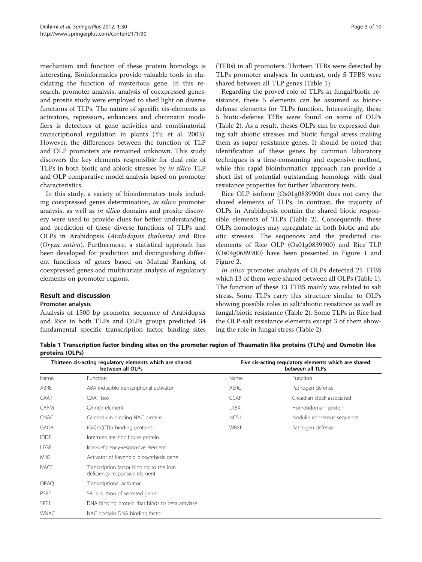<span id="page-2-0"></span>mechanism and function of these protein homologs is interesting. Bioinformatics provide valuable tools in elucidating the function of mysterious gene. In this research, promoter analysis, analysis of coexpressed genes, and prosite study were employed to shed light on diverse functions of TLPs. The nature of specific cis-elements as activators, repressors, enhancers and chromatin modifiers is detectors of gene activities and combinatorial transcriptional regulation in plants (Yu et al. [2003](#page-9-0)). However, the differences between the function of TLP and OLP promoters are remained unknown. This study discovers the key elements responsible for dual role of TLPs in both biotic and abiotic stresses by in silico TLP and OLP comparative model analysis based on promoter characteristics.

In this study, a variety of bioinformatics tools including coexpressed genes determination, in silico promoter analysis, as well as in silico domains and prosite discovery were used to provide clues for better understanding and prediction of these diverse functions of TLPs and OLPs in Arabidopsis (Arabidopsis thaliana) and Rice (Oryza sativa). Furthermore, a statistical approach has been developed for prediction and distinguishing different functions of genes based on Mutual Ranking of coexpressed genes and multivariate analysis of regulatory elements on promoter regions.

#### Result and discussion

#### Promoter analysis

Analysis of 1500 bp promoter sequence of Arabidopsis and Rice in both TLPs and OLPs groups predicted 34 fundamental specific transcription factor binding sites

(TFBs) in all promoters. Thirteen TFBs were detected by TLPs promoter analyses. In contrast, only 5 TFBS were shared between all TLP genes (Table 1).

Regarding the proved role of TLPs in fungal/biotic resistance, these 5 elements can be assumed as bioticdefense elements for TLPs function. Interestingly, these 5 biotic-defense TFBs were found on some of OLPs (Table [2\)](#page-3-0). As a result, theses OLPs can be expressed during salt abiotic stresses and biotic fungal stress making them as super resistance genes. It should be noted that identification of these genes by common laboratory techniques is a time-consuming and expensive method, while this rapid bioinformatics approach can provide a short list of potential outstanding homologs with dual resistance properties for further laboratory tests.

Rice OLP isoform (Os01g0839900) does not carry the shared elements of TLPs. In contrast, the majority of OLPs in Arabidopsis contain the shared biotic responsible elements of TLPs (Table [2](#page-3-0)). Consequently, these OLPs homologes may upregulate in both biotic and abiotic stresses. The sequences and the predicted ciselements of Rice OLP (Os01g0839900) and Rice TLP (Os04g0689900) have been presented in Figure [1](#page-4-0) and Figure [2](#page-4-0).

In silico promoter analysis of OLPs detected 21 TFBS which 13 of them were shared between all OLPs (Table 1). The function of these 13 TFBS mainly was related to salt stress. Some TLPs carry this structure similar to OLPs showing possible roles in salt/abiotic resistance as well as fungal/biotic resistance (Table [2](#page-3-0)). Some TLPs in Rice had the OLP-salt resistance elements except 3 of them showing the role in fungal stress (Table [2\)](#page-3-0).

Table 1 Transcription factor binding sites on the promoter region of Thaumatin like proteins (TLPs) and Osmotin like proteins (OLPs)

| Thirteen cis-acting regulatory elements which are shared<br>between all OLPs |                                                                           | Five cis-acting regulatory elements which are shared<br>between all TLPs |                            |  |
|------------------------------------------------------------------------------|---------------------------------------------------------------------------|--------------------------------------------------------------------------|----------------------------|--|
| Name                                                                         | Function                                                                  | Name                                                                     | <b>Function</b>            |  |
| ABRE                                                                         | ABA inducible transcriptional activator                                   | <b>ASRC</b>                                                              | Pathogen defense           |  |
| CAAT                                                                         | CAAT box                                                                  | <b>CCAF</b>                                                              | Circadian clock associated |  |
| <b>CARM</b>                                                                  | CA-rich element                                                           | L <sub>1</sub> BX                                                        | Homeodomain protein        |  |
| <b>CNAC</b>                                                                  | Calmodulin binding NAC protein                                            | NCS <sub>1</sub>                                                         | Nodulin consensus sequence |  |
| <b>GAGA</b>                                                                  | (GA)n/(CT)n binding proteins                                              | WBXF                                                                     | Pathogen defense           |  |
| <b>IDDF</b>                                                                  | Intermediate zinc figure protein                                          |                                                                          |                            |  |
| <b>LEGB</b>                                                                  | Iron-deficiency-responsive element                                        |                                                                          |                            |  |
| <b>MIIG</b>                                                                  | Activator of flavonoid biosynthesis gene                                  |                                                                          |                            |  |
| <b>NACF</b>                                                                  | Transcription factor binding to the iron<br>deficiency-responsive element |                                                                          |                            |  |
| OPAQ                                                                         | Transcriptional activator                                                 |                                                                          |                            |  |
| <b>PSPE</b>                                                                  | SA induction of secreted gene                                             |                                                                          |                            |  |
| SPF <sub>1</sub>                                                             | DNA binding protein that binds to beta amylase                            |                                                                          |                            |  |
| <b>WNAC</b>                                                                  | NAC domain DNA binding factor                                             |                                                                          |                            |  |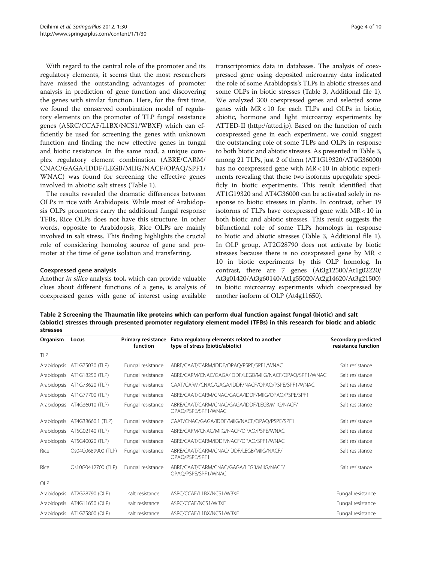<span id="page-3-0"></span>With regard to the central role of the promoter and its regulatory elements, it seems that the most researchers have missed the outstanding advantages of promoter analysis in prediction of gene function and discovering the genes with similar function. Here, for the first time, we found the conserved combination model of regulatory elements on the promoter of TLP fungal resistance genes (ASRC/CCAF/L1BX/NCS1/WBXF) which can efficiently be used for screening the genes with unknown function and finding the new effective genes in fungal and biotic resistance. In the same road, a unique complex regulatory element combination (ABRE/CARM/ CNAC/GAGA/IDDF/LEGB/MIIG/NACF/OPAQ/SPF1/ WNAC) was found for screening the effective genes involved in abiotic salt stress (Table [1](#page-2-0)).

The results revealed the dramatic differences between OLPs in rice with Arabidopsis. While most of Arabidopsis OLPs promoters carry the additional fungal response TFBs, Rice OLPs does not have this structure. In other words, opposite to Arabidopsis, Rice OLPs are mainly involved in salt stress. This finding highlights the crucial role of considering homolog source of gene and promoter at the time of gene isolation and transferring.

#### Coexpressed gene analysis

Another in silico analysis tool, which can provide valuable clues about different functions of a gene, is analysis of coexpressed genes with gene of interest using available

transcriptomics data in databases. The analysis of coexpressed gene using deposited microarray data indicated the role of some Arabidopsis's TLPs in abiotic stresses and some OLPs in biotic stresses (Table [3,](#page-5-0) [Additional file 1](#page-9-0)). We analyzed 300 coexpressed genes and selected some genes with MR < 10 for each TLPs and OLPs in biotic, abiotic, hormone and light microarray experiments by ATTED-II ([http://atted.jp\)](http://atted.jp). Based on the function of each coexpressed gene in each experiment, we could suggest the outstanding role of some TLPs and OLPs in response to both biotic and abiotic stresses. As presented in Table [3](#page-5-0), among 21 TLPs, just 2 of them (AT1G19320/AT4G36000) has no coexpressed gene with MR < 10 in abiotic experiments revealing that these two isoforms upregulate speci-

ficly in biotic experiments. This result identified that AT1G19320 and AT4G36000 can be activated solely in response to biotic stresses in plants. In contrast, other 19 isoforms of TLPs have coexpressed gene with MR < 10 in both biotic and abiotic stresses. This result suggests the bifunctional role of some TLPs homologs in response to biotic and abiotic stresses (Table [3](#page-5-0), [Additional file 1](#page-9-0)). In OLP group, AT2G28790 does not activate by biotic stresses because there is no coexpressed gene by MR < 10 in biotic experiments by this OLP homolog. In contrast, there are 7 genes (At3g12500/At1g02220/ At3g01420/At3g60140/At1g55020/At2g14620/At3g21500) in biotic microarray experiments which coexpressed by another isoform of OLP (At4g11650).

Table 2 Screening the Thaumatin like proteins which can perform dual function against fungal (biotic) and salt (abiotic) stresses through presented promoter regulatory element model (TFBs) in this research for biotic and abiotic stresses

| Organism    | Locus                       | <b>Primary resistance</b><br>function | Extra regulatory elements related to another<br>type of stress (biotic/abiotic) | Secondary predicted<br>resistance function |
|-------------|-----------------------------|---------------------------------------|---------------------------------------------------------------------------------|--------------------------------------------|
| <b>TLP</b>  |                             |                                       |                                                                                 |                                            |
|             | Arabidopsis AT1G75030 (TLP) | Fungal resistance                     | ABRE/CAAT/CARM/IDDF/OPAO/PSPE/SPF1/WNAC                                         | Salt resistance                            |
|             | Arabidopsis AT1G18250 (TLP) | Fungal resistance                     | ABRE/CARM/CNAC/GAGA/IDDF/LEGB/MIIG/NACF/OPAO/SPF1/WNAC                          | Salt resistance                            |
|             | Arabidopsis AT1G73620 (TLP) | Fungal resistance                     | CAAT/CARM/CNAC/GAGA/IDDF/NACF/OPAQ/PSPE/SPF1/WNAC                               | Salt resistance                            |
|             | Arabidopsis AT1G77700 (TLP) | Fungal resistance                     | ABRE/CAAT/CARM/CNAC/GAGA/IDDF/MIIG/OPAQ/PSPE/SPF1                               | Salt resistance                            |
|             | Arabidopsis AT4G36010 (TLP) | Fungal resistance                     | ABRE/CAAT/CARM/CNAC/GAGA/IDDF/LEGB/MIIG/NACF/<br>OPAO/PSPE/SPF1/WNAC            | Salt resistance                            |
| Arabidopsis | AT4G38660.1 (TLP)           | Fungal resistance                     | CAAT/CNAC/GAGA/IDDF/MIIG/NACF/OPAQ/PSPE/SPF1                                    | Salt resistance                            |
| Arabidopsis | AT5G02140 (TLP)             | Fungal resistance                     | ABRE/CARM/CNAC/MIIG/NACF/OPAQ/PSPE/WNAC                                         | Salt resistance                            |
| Arabidopsis | AT5G40020 (TLP)             | Fungal resistance                     | ABRE/CAAT/CARM/IDDF/NACF/OPAQ/SPF1/WNAC                                         | Salt resistance                            |
| Rice        | Os04G0689900 (TLP)          | Fungal resistance                     | ABRE/CAAT/CARM/CNAC/IDDF/LEGB/MIIG/NACF/<br>OPAO/PSPE/SPF1                      | Salt resistance                            |
| Rice        | Os10G0412700 (TLP)          | Fungal resistance                     | ABRE/CAAT/CARM/CNAC/GAGA/LEGB/MIIG/NACF/<br>OPAO/PSPE/SPF1/WNAC                 | Salt resistance                            |
| OIP         |                             |                                       |                                                                                 |                                            |
|             | Arabidopsis AT2G28790 (OLP) | salt resistance                       | ASRC/CCAF/L1BX/NCS1/WBXF                                                        | Fungal resistance                          |
|             | Arabidopsis AT4G11650 (OLP) | salt resistance                       | ASRC/CCAF/NCS1/WBXF                                                             | Fungal resistance                          |
|             | Arabidopsis AT1G75800 (OLP) | salt resistance                       | ASRC/CCAF/L1BX/NCS1/WBXF                                                        | Fungal resistance                          |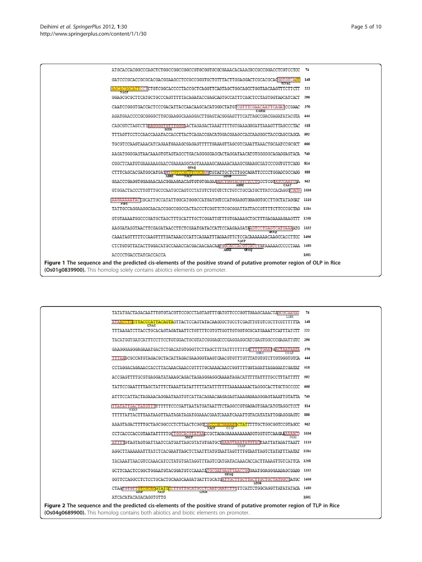<span id="page-4-0"></span>

| ATGCACCACGGCCCAGCTCTGGCCGGCCGGCCGTGCGGTGCGCGAAACACAAACGCCGCCGGACCTCGTCC                                                                                                                               | 74   |
|-------------------------------------------------------------------------------------------------------------------------------------------------------------------------------------------------------|------|
|                                                                                                                                                                                                       | 148  |
| <b>EATT</b> CCTCTGTCGGCACCCCTACCGCTCAGGTTCAGTAGCTGGCAGCCTGGTAACAAGTTTCTTCTT<br><b>NACF</b>                                                                                                            | 222  |
| GGAGCGCGCTTCATGCTGCCCAGTTTTTACAGATACCGAGCAGTGCCATTTCAGCTCCTAGTGGTAGCATCACT                                                                                                                            | 296  |
| CAATCCGGGTGACCACTCCCGACATTACCAACAAGCACATGGGCTATGTCGTTTCGAACAATTCAGATCCGAAC                                                                                                                            | 370  |
| AGATGAACCCCGCGGGGCTTGCGAAGGCAAAGGACTTGAGTACGGGAGTTTCATTAGCCGACGAGATATACGTA                                                                                                                            | 444  |
| CAGCGTCTAGTCTT <del>AAGGGGTGTTTGGGA</del> ACTAGAGACTAAATTTTTGTGAAAGGGATTAAAGTTTAGCCCTAC 518<br><b>MIIG</b>                                                                                            |      |
|                                                                                                                                                                                                       | 592  |
| TGCGTCCAAGTAAACATCAGAATGAAAGCGAGAGTTTTTGAAAGTTAGCGTCAAATTAAACTGCAATCCGCGCT                                                                                                                            | 666  |
| AAGATGGGGAGTAACAAAGTGTAGTAGCCTGACAGGGGGAGCACTAGGATAACATGTGGGGGCAGAGGAGTACA                                                                                                                            | 740  |
| CGGCTCAATGTGAAAAAAAGCAACCGAAAAGGCAGTAAAAAGCAAAAACAAAGCGAAAGCGATCCCGGTGTTCAGG 814<br>OPAO                                                                                                              |      |
| CTTTCAGCACGATGGCATGATHICGTCCACGTCGCAGGCGTATTGCTCTTGGCAGATTCCCCTGGAGCGCCAGG 888                                                                                                                        |      |
| GAACCCGAGGTGGAGAACAACGGAAGAACAGTGTGTGAGAARGCTGGTACGTCTCCTTQCCTCGTATCCAATCQA<br><b>ABRE</b>                                                                                                            | 962  |
|                                                                                                                                                                                                       | 1036 |
| AAGAAAAATACCGCATTGCCATATTGGCATGGGCCATGATGGTCCATGGAGGTGGAGGTGCCTTGCTATAGGAT 1110<br><b>PSPE</b>                                                                                                        |      |
| TATTGCCAGGAAGGCAACACCGGCCGGCCACTACCCTCGGTTCTCGCGGATTATTACCGTTTTCTTCCCGCTAG 1184                                                                                                                       |      |
|                                                                                                                                                                                                       |      |
| AAGGATAGGTAACTTCGAGATAACCTTCTCGAATGATACCATTCCAAGAAGATAAGTCCTGAGTCATGAAAATG<br><b>UPAU</b>                                                                                                             | 1332 |
| CAAATAGTTTTTCCAAGTTTTGATAAACCCATTCAGAATTTAGAAGTTCTCCACAAAAAAACAAGCCACCTTCC<br><b>NACF</b>                                                                                                             | 1406 |
| CTCTGTGTTATACTTGGACATGCCAAACCACGACAACAACAACAACGACGTCGCCTATAAAAACCCCCTAAA 1480<br>ABRE<br><b>QP30</b>                                                                                                  |      |
| ACCCCTGACCTATCACCACCA                                                                                                                                                                                 | 1501 |
| Figure 1 The sequence and the predicted cis-elements of the positive strand of putative promoter region of OLP in Rice<br>(Os01q0839900). This homolog solely contains abiotics elements on promoter. |      |
|                                                                                                                                                                                                       |      |

| TATATGACTAGACAATTTGTGTACGTTCCGCCTAGTAGTTTGATGTTCCCGGTTGAAGCAAACTAGCGAAI                                                | 74   |  |  |  |  |  |
|------------------------------------------------------------------------------------------------------------------------|------|--|--|--|--|--|
| ATAACCIGCTTACCCATTACAGTAGTTACTCCAGTATACAAGGGCTGCCTCGAGTTGTGTCGCTTCGTTTTTTA 148<br><b>CNAC</b>                          |      |  |  |  |  |  |
|                                                                                                                        |      |  |  |  |  |  |
| TACATGGTGATCATTTCCTTCCTGTGGACTGCGTATCGGGAGCCCGAGGAGGCATCGAGTGGCCCGAGATTGTC 296                                         |      |  |  |  |  |  |
|                                                                                                                        | 370  |  |  |  |  |  |
|                                                                                                                        |      |  |  |  |  |  |
| CCTAGGACAGAAACCACCTTACAAACAAACCGTTTTGCAAAACAACCGGTTTTGGTAGATTAGAGAATCGATAT 518                                         |      |  |  |  |  |  |
|                                                                                                                        |      |  |  |  |  |  |
|                                                                                                                        |      |  |  |  |  |  |
| ATTTCCATTACTAGAAACAGGAATAAGTGTCATTACAGAACAAGAGAGTAAAGAAGGGAGTAAATTGTATTA 740                                           |      |  |  |  |  |  |
| TTATATTGACTATGTTTTTTTTTCCCGATTAATATGATAATTTCTAGGCCGTGAGAGTGAACATGTAGGCTCCT 814                                         |      |  |  |  |  |  |
|                                                                                                                        |      |  |  |  |  |  |
|                                                                                                                        |      |  |  |  |  |  |
|                                                                                                                        | 1036 |  |  |  |  |  |
| AITTTGTAGTAGTGATTAATCCATGATTAGCGTATGTGATGCCTAAAGTAATATGTACTAATTATAGATTAATT 1110<br><b>CCAP</b>                         |      |  |  |  |  |  |
| AGGCTTAAAAAATTTATCTCACGAATTAGCTCTAATTTATGTAATTTGTAATTAGTCTATATTTAATAT 1184                                             |      |  |  |  |  |  |
| TACAAATTAACGTCCAAACATCCTATGTGATAGGTTTAGTCCATGATACAAACACCACTTAAAGTTGTCATTCA 1258                                        |      |  |  |  |  |  |
| GCTTCAACTCCGGCTGGAATGTACGGATGTCCAAATATGCGAIGAGTTAACCGCGAATGGAGGGAAGAGCGAGG 1332<br>OP <sub>30</sub>                    |      |  |  |  |  |  |
|                                                                                                                        |      |  |  |  |  |  |
| CTARIGIGIGCALCHICTATICCIGCATGCCICAATCAATCITTTCATTCTGGCAGGTTATATATACA 1480<br>TITUE                                     |      |  |  |  |  |  |
| ATCACATACAGACAGGTGTTG                                                                                                  | 1501 |  |  |  |  |  |
| Figure 2 The sequence and the predicted cis-elements of the positive strand of putative promoter region of TLP in Rice |      |  |  |  |  |  |
| (Os04q0689900). This homolog contains both abiotics and biotic elements on promoter.                                   |      |  |  |  |  |  |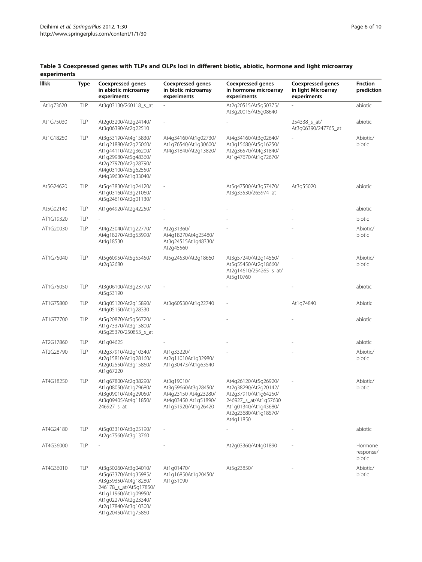At2g17840/At3g10300/ At1g20450/At1g75860

| Illkk     | Type       | <b>Coexpressed genes</b><br>in abiotic microarray<br>experiments                                                                                                     | <b>Coexpressed genes</b><br>in biotic microarray<br>experiments                                          | <b>Coexpressed genes</b><br>in hormone microarray<br>experiments                                                                                           | <b>Coexpressed genes</b><br>in light Microarray<br>experiments | <b>Fnction</b><br>prediction   |
|-----------|------------|----------------------------------------------------------------------------------------------------------------------------------------------------------------------|----------------------------------------------------------------------------------------------------------|------------------------------------------------------------------------------------------------------------------------------------------------------------|----------------------------------------------------------------|--------------------------------|
| At1g73620 | TLP        | At3g03130/260118_s_at                                                                                                                                                |                                                                                                          | At2q20515/At5q50375/<br>At3g20015/At5g08640                                                                                                                |                                                                | abiotic                        |
| At1G75030 | TLP        | At2g03200/At2g24140/<br>At3q06390/At2q22510                                                                                                                          |                                                                                                          |                                                                                                                                                            | 254338 s at/<br>At3q06390/247765_at                            | abiotic                        |
| At1G18250 | <b>TLP</b> | At3q53190/At4q15830/<br>At1g21880/At2g25060/<br>At1q44110/At2q36200/<br>At1q29980/At5q48360/<br>At2g27970/At2g28790/<br>At4g03100/At5g62550/<br>At4g39630/At1g33040/ | At4g34160/At1g02730/<br>At1g76540/At1g30600/<br>At4g31840/At2g13820/                                     | At4g34160/At3g02640/<br>At3g15680/At5g16250/<br>At2g36570/At4g31840/<br>At1q47670/At1q72670/                                                               |                                                                | Abiotic/<br>biotic             |
| At5G24620 | <b>TLP</b> | At5q43830/At1q24120/<br>At1g03160/At3g21060/<br>At5g24610/At2g01130/                                                                                                 |                                                                                                          | At5q47500/At3q57470/<br>At3q33530/265974_at                                                                                                                | At3g55020                                                      | abiotic                        |
| At5G02140 | TLP        | At1g64920/At2g42250/                                                                                                                                                 |                                                                                                          |                                                                                                                                                            |                                                                | abiotic                        |
| AT1G19320 | <b>TLP</b> |                                                                                                                                                                      |                                                                                                          |                                                                                                                                                            |                                                                | biotic                         |
| AT1G20030 | <b>TLP</b> | At4g23040/At1g22770/<br>At4q18270/At3q53990/<br>At4g18530                                                                                                            | At2q31360/<br>At4g18270At4g25480/<br>At3q24515At1q48330/<br>At2g45560                                    |                                                                                                                                                            |                                                                | Abiotic/<br>biotic             |
| AT1G75040 | TLP        | At5q60950/At5q55450/<br>At2g32680                                                                                                                                    | At5q24530/At2q18660                                                                                      | At3g57240/At2g14560/<br>At5g55450/At2g18660/<br>At2g14610/254265_s_at/<br>At5g10760                                                                        |                                                                | Abiotic/<br>biotic             |
| AT1G75050 | <b>TLP</b> | At3q06100/At3q23770/<br>At5g53190                                                                                                                                    |                                                                                                          |                                                                                                                                                            |                                                                | abiotic                        |
| AT1G75800 | <b>TLP</b> | At3g05120/At2g15890/<br>At4g05150/At1g28330                                                                                                                          | At3g60530/At1g22740                                                                                      |                                                                                                                                                            | At1g74840                                                      | Abiotic                        |
| AT1G77700 | TLP        | At5q20870/At5q56720/<br>At1g73370/At3g15800/<br>At5q25370/250853_s_at                                                                                                |                                                                                                          |                                                                                                                                                            |                                                                | abiotic                        |
| AT2G17860 | <b>TLP</b> | At1g04625                                                                                                                                                            |                                                                                                          |                                                                                                                                                            |                                                                | abiotic                        |
| AT2G28790 | TLP        | At2q37910/At2q10340/<br>At2q15810/At1q28160/<br>At2q02550/At3q15860/<br>At1g67220                                                                                    | At1q33220/<br>At2g11010At1g32980/<br>At1q30473/At1q63540                                                 |                                                                                                                                                            |                                                                | Abiotic/<br>biotic             |
| AT4G18250 | TLP        | At1g67800/At2g38290/<br>At1q08050/At1g79680/<br>At3g09010/At4g29050/<br>At3q09405/At4q11850/<br>246927_s_at                                                          | At3g19010/<br>At3g59660At3g28450/<br>At4g23150 At4g23280/<br>At4q03450 At1q51890/<br>At1q51920/At1q26420 | At4g26120/At5g26920/<br>At2g38290/At2g20142/<br>At2g37910/At1g64250/<br>246927_s_at/At1g57630<br>At1g01340/At1g43680/<br>At2g23680/At1g18570/<br>At4g11850 |                                                                | Abiotic/<br>biotic             |
| AT4G24180 | TLP        | At5q03310/At3q25190/<br>At2q47560/At3q13760                                                                                                                          |                                                                                                          |                                                                                                                                                            |                                                                | abiotic                        |
| AT4G36000 | TLP        |                                                                                                                                                                      |                                                                                                          | At2g03360/At4g01890                                                                                                                                        |                                                                | Hormone<br>response/<br>biotic |
| AT4G36010 | TLP        | At3q50260/At3q04010/<br>At5q63370/At4q35985/<br>At3q59350/At4q18280/<br>246178_s_at/At5q17850/<br>At1q11960/At1q09950/<br>At1g02270/At2g23340/                       | At1q01470/<br>At1g16850At1g20450/<br>At1q51090                                                           | At5q23850/                                                                                                                                                 |                                                                | Abiotic/<br>biotic             |

## <span id="page-5-0"></span>Table 3 Coexpressed genes with TLPs and OLPs loci in different biotic, abiotic, hormone and light microarray experiments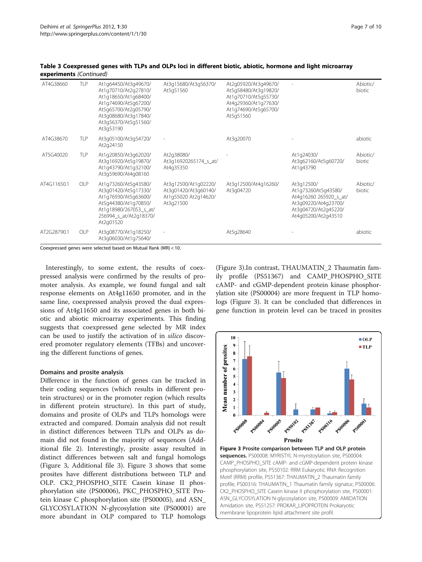Table 3 Coexpressed genes with TLPs and OLPs loci in different biotic, abiotic, hormone and light microarray experiments (Continued)

| AT4G38660   | <b>TLP</b> | At1g64450/At3g49670/<br>At1q70710/At2q27810/<br>At1q18650/At1q68400/<br>At1g74690/At5g67200/<br>At5q65700/At2q05790/<br>At3q08680/At3q17840/<br>At3q56370/At5q51560/<br>At3q53190 | At3g15680/At3g56370/<br>At5q51560                                                 | At2q05920/At3q49670/<br>At5g58480/At3g19820/<br>At1q70710/At5q55730/<br>At4q29360/At1q77630/<br>At1q74690/At5q65700/<br>At5q51560 |                                                                                                                                    | Abiotic/<br>biotic |
|-------------|------------|-----------------------------------------------------------------------------------------------------------------------------------------------------------------------------------|-----------------------------------------------------------------------------------|-----------------------------------------------------------------------------------------------------------------------------------|------------------------------------------------------------------------------------------------------------------------------------|--------------------|
| AT4G38670   | <b>TLP</b> | At3q05100/At3q54720/<br>At2q24150                                                                                                                                                 |                                                                                   | At3q20070                                                                                                                         |                                                                                                                                    | abiotic            |
| AT5G40020   | <b>TLP</b> | At1q20850/At3q62020/<br>At3q16920/At5q19870/<br>At1q43790/At1q32100/<br>At3q59690/At4q08160                                                                                       | At2q38080/<br>At3q16920265174_s_at/<br>At4q35350                                  |                                                                                                                                   | At1q24030/<br>At3q62160/At5q60720/<br>At1q43790                                                                                    | Abiotic/<br>biotic |
| AT4G11650.1 | OLP        | At1q73260/At5q43580/<br>At3q01420/At5q17330/<br>At1g76930/At5g63600/<br>At5q44380/At1q70850/<br>At1q18980/267053 s at/<br>256994_s_at/At2q18370/<br>At2q01520                     | At3q12500/At1q02220/<br>At3q01420/At3q60140/<br>At1q55020 At2q14620/<br>At3q21500 | At3q12500/At4q16260/<br>At3q04720                                                                                                 | At3q12500/<br>At1q73260At5q43580/<br>At4q16260 265920_s_at/<br>At3q09220/At4q23700/<br>At3q04720/At2q45220/<br>At4q05200/At2q43510 | Abiotic/<br>biotic |
| AT2G28790.1 | <b>OLP</b> | At3q08770/At1q18250/<br>At3q06030/At1q75640/                                                                                                                                      |                                                                                   | At5q28640                                                                                                                         |                                                                                                                                    | abiotic            |

Coexpressed genes were selected based on Mutual Rank (MR) < 10.

Interestingly, to some extent, the results of coexpressed analysis were confirmed by the results of promoter analysis. As example, we found fungal and salt response elements on At4g11650 promoter, and in the same line, coexpressed analysis proved the dual expressions of At4g11650 and its associated genes in both biotic and abiotic microarray experiments. This finding suggests that coexpressed gene selected by MR index can be used to justify the activation of in silico discovered promoter regulatory elements (TFBs) and uncovering the different functions of genes.

#### Domains and prosite analysis

Difference in the function of genes can be tracked in their coding sequences (which results in different protein structures) or in the promoter region (which results in different protein structure). In this part of study, domains and prosite of OLPs and TLPs homologs were extracted and compared. Domain analysis did not result in distinct differences between TLPs and OLPs as domain did not found in the majority of sequences ([Add](#page-9-0)[itional file 2](#page-9-0)). Interestingly, prosite assay resulted in distinct differences between salt and fungal homologs (Figure 3, [Additional file 3](#page-9-0)). Figure 3 shows that some prosites have different distributions between TLP and OLP. CK2\_PHOSPHO\_SITE Casein kinase II phosphorylation site (PS00006), PKC\_PHOSPHO\_SITE Protein kinase C phosphorylation site (PS00005), and ASN\_ GLYCOSYLATION N-glycosylation site (PS00001) are more abundant in OLP compared to TLP homologs

(Figure 3).In contrast, THAUMATIN\_2 Thaumatin family profile (PS51367) and CAMP\_PHOSPHO\_SITE cAMP- and cGMP-dependent protein kinase phosphorylation site (PS00004) are more frequent in TLP homologs (Figure 3). It can be concluded that differences in gene function in protein level can be traced in prosites

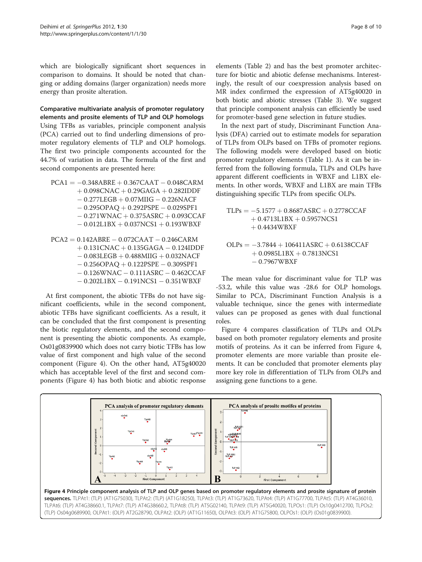which are biologically significant short sequences in comparison to domains. It should be noted that changing or adding domains (larger organization) needs more energy than prosite alteration.

Comparative multivariate analysis of promoter regulatory elements and prosite elements of TLP and OLP homologs Using TFBs as variables, principle component analysis (PCA) carried out to find underling dimensions of promoter regulatory elements of TLP and OLP homologs. The first two principle components accounted for the 44.7% of variation in data. The formula of the first and second components are presented here:

$$
\begin{aligned} \text{PCA1} & = -0.348 \text{ABRE} + 0.367 \text{CAAT} - 0.048 \text{CARM} \\ & + 0.098 \text{CNAC} + 0.29 \text{GAGA} + 0.282 \text{IDDF} \\ & - 0.277 \text{LEGB} + 0.07 \text{MIG} - 0.226 \text{NACF} \\ & - 0.295 \text{OPAQ} + 0.292 \text{PSPE} - 0.0293 \text{PFI} \\ & - 0.271 \text{WNAC} + 0.375 \text{ASRC} + 0.093 \text{CCAF} \\ & - 0.012 \text{LIBX} + 0.037 \text{NCS1} + 0.193 \text{WBXF} \\ \text{PCA2} & = 0.142 \text{ABRE} - 0.072 \text{CAAT} - 0.246 \text{CARM} \\ & + 0.131 \text{CNAC} + 0.135 \text{GAGA} - 0.124 \text{IDDF} \\ & - 0.083 \text{LEGB} + 0.488 \text{MIG} + 0.032 \text{NACF} \\ & - 0.256 \text{OPAQ} + 0.122 \text{PSPE} - 0.309 \text{SPF1} \end{aligned}
$$

 $-0.126$ WNAC  $-0.111A$ SRC  $-0.462$ CCAF  $-0.202L1BX - 0.191NCS1 - 0.351WBXF$ 

At first component, the abiotic TFBs do not have significant coefficients, while in the second component, abiotic TFBs have significant coefficients. As a result, it can be concluded that the first component is presenting the biotic regulatory elements, and the second component is presenting the abiotic components. As example, Os01g0839900 which does not carry biotic TFBs has low value of first component and high value of the second component (Figure 4). On the other hand, AT5g40020 which has acceptable level of the first and second components (Figure 4) has both biotic and abiotic response

elements (Table [2](#page-3-0)) and has the best promoter architecture for biotic and abiotic defense mechanisms. Interestingly, the result of our coexpression analysis based on MR index confirmed the expression of AT5g40020 in both biotic and abiotic stresses (Table [3](#page-5-0)). We suggest that principle component analysis can efficiently be used for promoter-based gene selection in future studies.

In the next part of study, Discriminant Function Analysis (DFA) carried out to estimate models for separation of TLPs from OLPs based on TFBs of promoter regions. The following models were developed based on biotic promoter regulatory elements (Table [1\)](#page-2-0). As it can be inferred from the following formula, TLPs and OLPs have apparent different coefficients in WBXF and L1BX elements. In other words, WBXF and L1BX are main TFBs distinguishing specific TLPs from specific OLPs.

 $TLPs = -5.1577 + 0.8687ASRC + 0.2778CCAF$  $+0.4713L1BX + 0.5957NCS1$  $+0.4434WBXF$ 

$$
OLPs = -3.7844 + 106411ASRC + 0.6138CCAF + 0.0985L1BX + 0.7813NCS1 - 0.7967WBXF
$$

The mean value for discriminant value for TLP was -53.2, while this value was -28.6 for OLP homologs. Similar to PCA, Discriminant Function Analysis is a valuable technique, since the genes with intermediate values can pe proposed as genes with dual functional roles.

Figure 4 compares classification of TLPs and OLPs based on both promoter regulatory elements and prosite motifs of proteins. As it can be inferred from Figure 4, promoter elements are more variable than prosite elements. It can be concluded that promoter elements play more key role in differentiation of TLPs from OLPs and assigning gene functions to a gene.

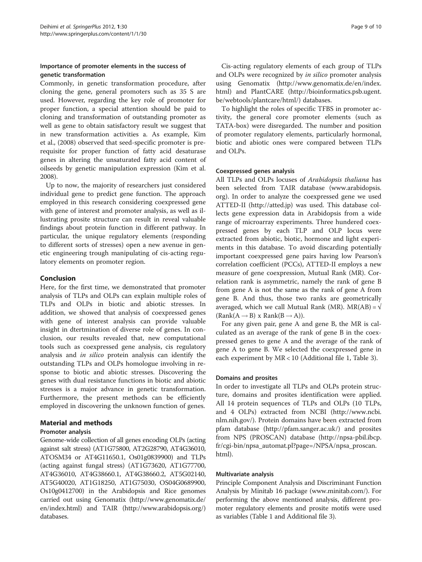## Importance of promoter elements in the success of genetic transformation

Commonly, in genetic transformation procedure, after cloning the gene, general promoters such as 35 S are used. However, regarding the key role of promoter for proper function, a special attention should be paid to cloning and transformation of outstanding promoter as well as gene to obtain satisfactory result we suggest that in new transformation activities a. As example, Kim et al., [\(2008](#page-9-0)) observed that seed-specific promoter is prerequisite for proper function of fatty acid desaturase genes in altering the unsaturated fatty acid content of oilseeds by genetic manipulation expression (Kim et al. [2008](#page-9-0)).

Up to now, the majority of researchers just considered individual gene to predict gene function. The approach employed in this research considering coexpressed gene with gene of interest and promoter analysis, as well as illustrating prosite structure can result in reveal valuable findings about protein function in different pathway. In particular, the unique regulatory elements (responding to different sorts of stresses) open a new avenue in genetic engineering trough manipulating of cis-acting regulatory elements on promoter region.

## Conclusion

Here, for the first time, we demonstrated that promoter analysis of TLPs and OLPs can explain multiple roles of TLPs and OLPs in biotic and abiotic stresses. In addition, we showed that analysis of coexpressed genes with gene of interest analysis can provide valuable insight in dtertmination of diverse role of genes. In conclusion, our results revealed that, new computational tools such as coexpressed gene analysis, cis regulatory analysis and in silico protein analysis can identify the outstanding TLPs and OLPs homologue involving in response to biotic and abiotic stresses. Discovering the genes with dual resistance functions in biotic and abiotic stresses is a major advance in genetic transformation. Furthermore, the present methods can be efficiently employed in discovering the unknown function of genes.

## Material and methods

## Promoter analysis

Genome-wide collection of all genes encoding OLPs (acting against salt stress) (AT1G75800, AT2G28790, AT4G36010, ATOSM34 or AT4G11650.1, Os01g0839900) and TLPs (acting against fungal stress) (AT1G73620, AT1G77700, AT4G36010, AT4G38660.1, AT4G38660.2, AT5G02140, AT5G40020, AT1G18250, AT1G75030, OS04G0689900, Os10g0412700) in the Arabidopsis and Rice genomes carried out using Genomatix ([http://www.genomatix.de/](http://www.genomatix.de/en/index.html) [en/index.html\)](http://www.genomatix.de/en/index.html) and TAIR (<http://www.arabidopsis.org/>) databases.

Cis-acting regulatory elements of each group of TLPs and OLPs were recognized by in silico promoter analysis using Genomatix ([http://www.genomatix.de/en/index.](http://www.genomatix.de/en/index.html) [html\)](http://www.genomatix.de/en/index.html) and PlantCARE ([http://bioinformatics.psb.ugent.](http://bioinformatics.psb.ugent.be/webtools/plantcare/html/) [be/webtools/plantcare/html/\)](http://bioinformatics.psb.ugent.be/webtools/plantcare/html/) databases.

To highlight the roles of specific TFBS in promoter activity, the general core promoter elements (such as TATA-box) were disregarded. The number and position of promoter regulatory elements, particularly hormonal, biotic and abiotic ones were compared between TLPs and OLPs.

#### Coexpressed genes analysis

All TLPs and OLPs locuses of Arabidopsis thaliana has been selected from TAIR database ([www.arabidopsis.](http://www.arabidopsis.org) [org](http://www.arabidopsis.org)). In order to analyze the coexpressed gene we used ATTED-II [\(http://atted.jp\)](http://atted.jp) was used. This database collects gene expression data in Arabidopsis from a wide range of microarray experiments. Three hundered coexpressed genes by each TLP and OLP locus were extracted from abiotic, biotic, hormone and light experiments in this database. To avoid discarding potentially important coexpressed gene pairs having low Pearson's correlation coefficient (PCCs), ATTED-II employs a new measure of gene coexpression, Mutual Rank (MR). Correlation rank is asymmetric, namely the rank of gene B from gene A is not the same as the rank of gene A from gene B. And thus, those two ranks are geometrically averaged, which we call Mutual Rank (MR). MR(AB) =  $\sqrt{ }$  $(Rank(A \rightarrow B) \times Rank(B \rightarrow A)).$ 

For any given pair, gene A and gene B, the MR is calculated as an average of the rank of gene B in the coexpressed genes to gene A and the average of the rank of gene A to gene B. We selected the coexpressed gene in each experiment by MR < 10 [\(Additional file 1,](#page-9-0) Table [3](#page-5-0)).

## Domains and prosites

In order to investigate all TLPs and OLPs protein structure, domains and prosites identification were applied. All 14 protein sequences of TLPs and OLPs (10 TLPs, and 4 OLPs) extracted from NCBI [\(http://www.ncbi.](http://www.ncbi.nlm.nih.gov/) [nlm.nih.gov/](http://www.ncbi.nlm.nih.gov/)). Protein domains have been extracted from pfam database (<http://pfam.sanger.ac.uk/>) and prosites from NPS (PROSCAN) database ([http://npsa-pbil.ibcp.](http://npsa-pbil.ibcp.fr/cgi-bin/npsa_automat.pl?page=/NPSA/npsa_proscan.html) [fr/cgi-bin/npsa\\_automat.pl?page=/NPSA/npsa\\_proscan.](http://npsa-pbil.ibcp.fr/cgi-bin/npsa_automat.pl?page=/NPSA/npsa_proscan.html) [html\)](http://npsa-pbil.ibcp.fr/cgi-bin/npsa_automat.pl?page=/NPSA/npsa_proscan.html).

#### Multivariate analysis

Principle Component Analysis and Discriminant Function Analysis by Minitab 16 package [\(www.minitab.com/](http://www.minitab.com/)). For performing the above mentioned analysis, different promoter regulatory elements and prosite motifs were used as variables (Table [1](#page-2-0) and [Additional file 3](#page-9-0)).